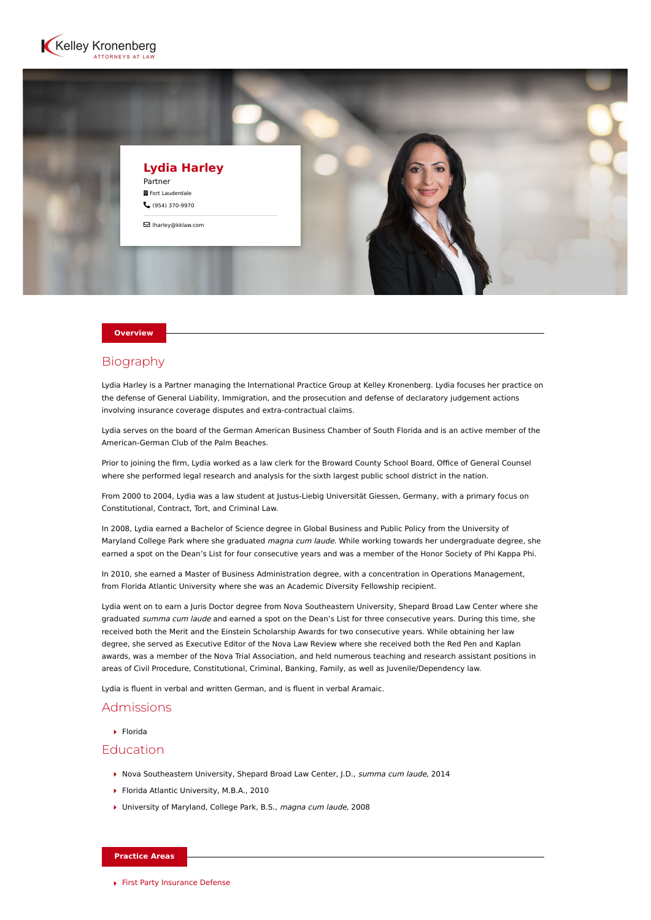



#### **Overview**

# **Biography**

Lydia Harley is a Partner managing the International Practice Group at Kelley Kronenberg. Lydia focuses her practice on the defense of General Liability, Immigration, and the prosecution and defense of declaratory judgement actions involving insurance coverage disputes and extra-contractual claims.

Lydia serves on the board of the German American Business Chamber of South Florida and is an active member of the American-German Club of the Palm Beaches.

Prior to joining the firm, Lydia worked as a law clerk for the Broward County School Board, Office of General Counsel where she performed legal research and analysis for the sixth largest public school district in the nation.

From 2000 to 2004, Lydia was a law student at Justus-Liebig Universität Giessen, Germany, with a primary focus on Constitutional, Contract, Tort, and Criminal Law.

In 2008, Lydia earned a Bachelor of Science degree in Global Business and Public Policy from the University of Maryland College Park where she graduated magna cum laude. While working towards her undergraduate degree, she earned a spot on the Dean's List for four consecutive years and was a member of the Honor Society of Phi Kappa Phi.

In 2010, she earned a Master of Business Administration degree, with a concentration in Operations Management, from Florida Atlantic University where she was an Academic Diversity Fellowship recipient.

Lydia went on to earn a Juris Doctor degree from Nova Southeastern University, Shepard Broad Law Center where she graduated summa cum laude and earned a spot on the Dean's List for three consecutive years. During this time, she received both the Merit and the Einstein Scholarship Awards for two consecutive years. While obtaining her law degree, she served as Executive Editor of the Nova Law Review where she received both the Red Pen and Kaplan awards, was a member of the Nova Trial Association, and held numerous teaching and research assistant positions in areas of Civil Procedure, Constitutional, Criminal, Banking, Family, as well as Juvenile/Dependency law.

Lydia is fluent in verbal and written German, and is fluent in verbal Aramaic.

#### Admissions

 $\blacktriangleright$  Florida

### Education

- ▶ Nova Southeastern University, Shepard Broad Law Center, I.D., summa cum laude, 2014
- ▶ Florida Atlantic University, M.B.A., 2010
- ▶ University of Maryland, College Park, B.S., magna cum laude, 2008

#### **Practice Areas**

[First Party Insurance Defense](https://www.kelleykronenberg.com/our-practices/first-party-insurance-defense-coverage-bad-faith/)